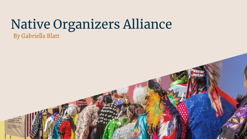## Native Organizers Alliance By Gabriella Blatt

any agitation of the ordinary Voter's civil rights **Rental Processing Prints of Assessment**<br>Processing and all rendered by Children and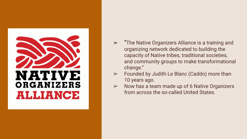

- $\triangleright$  "The Native Organizers Alliance is a training and organizing network dedicated to building the capacity of Native tribes, traditional societies, and community groups to make transformational change."
- $\triangleright$  Founded by Judith Le Blanc (Caddo) more than 10 years ago.
- $\triangleright$  Now has a team made up of 6 Native Organizers from across the so-called United States.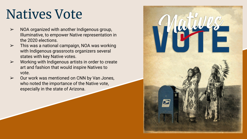## Natives Vote

- ➢ NOA organized with another Indigenous group, Illuminative, to empower Native representation in the 2020 elections.
- $\triangleright$  This was a national campaign, NOA was working with Indigenous grassroots organizers several states with key Native votes.
- $\triangleright$  Working with Indigenous artists in order to create art and fashion that would inspire Natives to vote.
- $\geq$  Our work was mentioned on CNN by Van Jones, who noted the importance of the Native vote, especially in the state of Arizona.